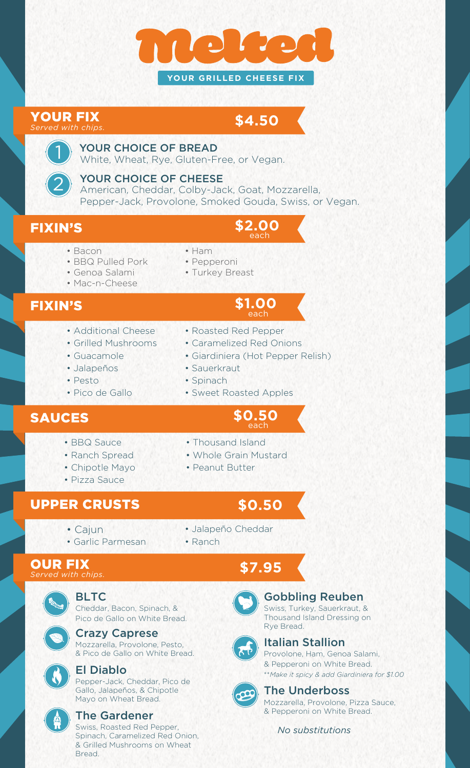

#### YOUR FIX *Served with chips.*

# **\$4.50**

### YOUR CHOICE OF BREAD

White, Wheat, Rye, Gluten-Free, or Vegan.

### YOUR CHOICE OF CHEESE

American, Cheddar, Colby-Jack, Goat, Mozzarella, Pepper-Jack, Provolone, Smoked Gouda, Swiss, or Vegan.

2

1

- FIXIN'S **\$2.00** each
	- Bacon
- Ham • Pepperoni
- BBQ Pulled Pork • Genoa Salami
- Turkey Breast
- Mac-n-Cheese

• Guacamole • Jalapeños

• Pico de Gallo

• Pesto

# FIXIN'S

- Additional Cheese • Grilled Mushrooms
- Roasted Red Pepper
- Caramelized Red Onions
- Giardiniera (Hot Pepper Relish)

each

**\$1.00** each

- Sauerkraut
- Spinach
- Sweet Roasted Apples

# **SAUCES**  $$0.50$

- BBQ Sauce
- Ranch Spread
- Chipotle Mayo
- Pizza Sauce

# UPPER CRUSTS

**\$0.50**

• Thousand Island

• Peanut Butter

• Whole Grain Mustard

- Cajun
- Garlic Parmesan

#### OUR FIX *Served with chips.*

BLTC

Cheddar, Bacon, Spinach, & Pico de Gallo on White Bread.

Crazy Caprese Mozzarella, Provolone, Pesto, & Pico de Gallo on White Bread.

# El Diablo

Pepper-Jack, Cheddar, Pico de Gallo, Jalapeños, & Chipotle Mayo on Wheat Bread.



### The Gardener

Swiss, Roasted Red Pepper, Spinach, Caramelized Red Onion, & Grilled Mushrooms on Wheat Bread.

• Jalapeño Cheddar

• Ranch

# **\$7.95**



### Gobbling Reuben

Swiss, Turkey, Sauerkraut, & Thousand Island Dressing on Rye Bread.



### Italian Stallion

Provolone, Ham, Genoa Salami, & Pepperoni on White Bread. \*\**Make it spicy & add Giardiniera for \$1.00*



### The Underboss

Mozzarella, Provolone, Pizza Sauce, & Pepperoni on White Bread.

*No substitutions*